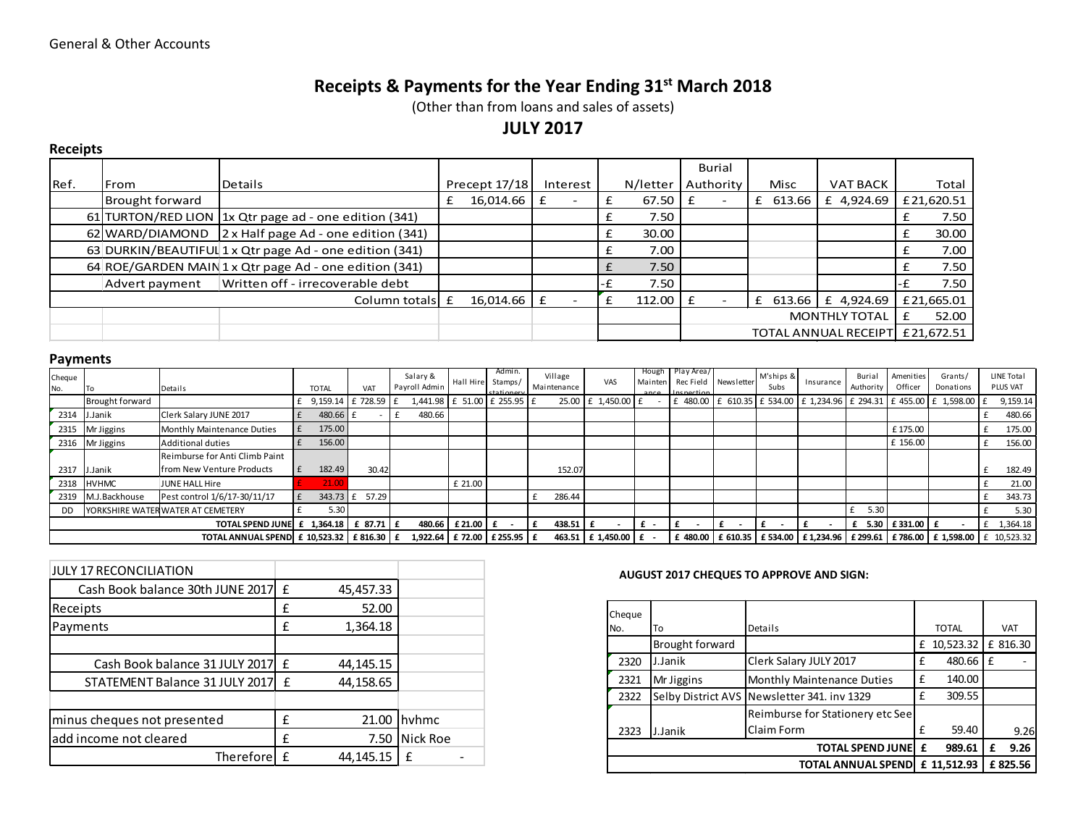# Receipts & Payments for the Year Ending 31<sup>st</sup> March 2018

(Other than from loans and sales of assets)

## JULY 2017

### Receipts

|                                                        |                 |                                                         |                 |          |          | Burial                          |                       |                 |            |
|--------------------------------------------------------|-----------------|---------------------------------------------------------|-----------------|----------|----------|---------------------------------|-----------------------|-----------------|------------|
| IRef.                                                  | <b>From</b>     | lDetails                                                | Precept $17/18$ | Interest | N/letter | Authority                       | Misc                  | <b>VAT BACK</b> | Total      |
|                                                        | Brought forward |                                                         | 16,014.66       |          | 67.50    |                                 | 613.66                | £ 4,924.69      | £21,620.51 |
|                                                        |                 | 61 TURTON/RED LION 1x Qtr page ad - one edition (341)   |                 |          | 7.50     |                                 |                       |                 | 7.50       |
|                                                        |                 | 62 WARD/DIAMOND 2 x Half page Ad - one edition (341)    |                 |          | 30.00    |                                 |                       |                 | 30.00      |
|                                                        |                 | 63 DURKIN/BEAUTIFUL 1 x Qtr page Ad - one edition (341) |                 |          | 7.00     |                                 |                       |                 | 7.00       |
| 64 ROE/GARDEN MAIN 1 x Qtr page Ad - one edition (341) |                 |                                                         |                 | 7.50     |          |                                 |                       | 7.50            |            |
|                                                        | Advert payment  | Written off - irrecoverable debt                        |                 |          | 7.50     |                                 |                       |                 | 7.50       |
| Column totals E                                        |                 | 16,014.66                                               |                 | 112.00   |          |                                 | £ 613.66   £ 4,924.69 | £21,665.01      |            |
|                                                        |                 |                                                         |                 |          |          |                                 | <b>MONTHLY TOTAL</b>  | 52.00           |            |
|                                                        |                 |                                                         |                 |          |          | TOTAL ANNUAL RECEIPT £21,672.51 |                       |                 |            |

### Payments

| Cheque                                        |                 |                                   |  |              |                   | Salary &      | Hall Hire | Admin.<br>Stamps/           | Village     | VAS                       |  | Hough Play Area/<br>Mainten Rec Field | Newsletter | M'ships & | Insurance | Burial           | Amenities | Grants/                                                                                                                                                    | LINE Total      |
|-----------------------------------------------|-----------------|-----------------------------------|--|--------------|-------------------|---------------|-----------|-----------------------------|-------------|---------------------------|--|---------------------------------------|------------|-----------|-----------|------------------|-----------|------------------------------------------------------------------------------------------------------------------------------------------------------------|-----------------|
| No.                                           |                 | Details                           |  | <b>TOTAL</b> | VAT               | Payroll Admin |           | ctationery                  | Maintenance |                           |  | ance Inconstion                       |            | Subs      |           | Authority        | Officer   | Donations                                                                                                                                                  | <b>PLUS VAT</b> |
|                                               | Brought forward |                                   |  |              | 9,159.14 £ 728.59 |               |           | 1,441.98 £ 51.00 £ 255.95 £ |             | 25.00 £ 1,450.00 £        |  | £ 480.00                              |            |           |           |                  |           | £ 610.35 £ 534.00 £ 1,234.96 £ 294.31 £ 455.00 £ 1,598.00 £                                                                                                | 9,159.14        |
| 2314                                          | J.Janik         | Clerk Salary JUNE 2017            |  | 480.66 f     |                   | 480.66        |           |                             |             |                           |  |                                       |            |           |           |                  |           |                                                                                                                                                            | 480.66          |
| 2315                                          | Mr Jiggins      | Monthly Maintenance Duties        |  | 175.00       |                   |               |           |                             |             |                           |  |                                       |            |           |           |                  | £175.00   |                                                                                                                                                            | 175.00          |
| 2316                                          | Mr Jiggins      | Additional duties                 |  | 156.00       |                   |               |           |                             |             |                           |  |                                       |            |           |           |                  | £ 156.00  |                                                                                                                                                            | 156.00          |
|                                               |                 | Reimburse for Anti Climb Paint    |  |              |                   |               |           |                             |             |                           |  |                                       |            |           |           |                  |           |                                                                                                                                                            |                 |
| 2317                                          | J.Janik         | from New Venture Products         |  | 182.49       | 30.42             |               |           |                             | 152.07      |                           |  |                                       |            |           |           |                  |           |                                                                                                                                                            | 182.49          |
| 2318                                          | <b>HVHMC</b>    | JUNE HALL Hire                    |  | 21.00        |                   |               | £ 21.00   |                             |             |                           |  |                                       |            |           |           |                  |           |                                                                                                                                                            | 21.00           |
| 2319                                          | M.J.Backhouse   | Pest control 1/6/17-30/11/17      |  |              | 57.29             |               |           |                             | 286.44      |                           |  |                                       |            |           |           |                  |           |                                                                                                                                                            | 343.73          |
| <b>DD</b>                                     |                 | YORKSHIRE WATER WATER AT CEMETERY |  | 5.30         |                   |               |           |                             |             |                           |  |                                       |            |           |           | 5.30             |           |                                                                                                                                                            | 5.30            |
| TOTAL SPEND JUNE £ 1,364.18 £ 87.71 E         |                 |                                   |  |              | 480.66            | $£21.00$ £    |           | $438.51$ £                  |             | $f -$                     |  |                                       |            |           |           | £ 5.30 £331.00 £ |           | £ 1,364.18                                                                                                                                                 |                 |
| TOTAL ANNUAL SPEND £ 10,523.32   £ 816.30   £ |                 |                                   |  |              |                   |               |           | 1,922.64 E 72.00 E 255.95 E |             | 463.51   £ 1,450.00   £ - |  |                                       |            |           |           |                  |           | £ 480.00 $\vert$ £ 610.35 $\vert$ £ 534.00 $\vert$ £ 1,234.96 $\vert$ £ 299.61 $\vert$ £ 786.00 $\vert$ £ 1,598.00 $\vert$ $\vert$ $\pm$ 10,523.32 $\vert$ |                 |

| <b>JULY 17 RECONCILIATION</b>      |   |           |          |
|------------------------------------|---|-----------|----------|
| Cash Book balance 30th JUNE 2017 E |   | 45,457.33 |          |
| Receipts                           | £ | 52.00     |          |
| Payments                           | £ | 1,364.18  |          |
|                                    |   |           |          |
| Cash Book balance 31 JULY 2017 E   |   | 44,145.15 |          |
| STATEMENT Balance 31 JULY 2017     | £ | 44,158.65 |          |
|                                    |   |           |          |
| minus cheques not presented        | £ | 21.00     | hyhmc    |
| add income not cleared             | £ | 7.50      | Nick Roe |
| Therefore                          | f | 44,145.15 | f        |

#### AUGUST 2017 CHEQUES TO APPROVE AND SIGN:

| Cheque |                           |                                  |   |              |            |
|--------|---------------------------|----------------------------------|---|--------------|------------|
| No.    | To                        | Details                          |   | <b>TOTAL</b> | <b>VAT</b> |
|        | Brought forward           |                                  | £ | 10,523.32    | £ 816.30   |
| 2320   | J.Janik                   | Clerk Salary JULY 2017           | £ | 480.66 E     |            |
| 2321   | Mr Jiggins                | Monthly Maintenance Duties       | f | 140.00       |            |
| 2322   | Selby District AVS        | Newsletter 341. inv 1329         | f | 309.55       |            |
|        |                           | Reimburse for Stationery etc See |   |              |            |
| 2323   | J.Janik                   | Claim Form                       | f | 59.40        | 9.26       |
|        |                           | <b>TOTAL SPEND JUNE</b>          | £ | 989.61       | 9.26       |
|        | <b>TOTAL ANNUAL SPEND</b> |                                  |   |              | £825.56    |